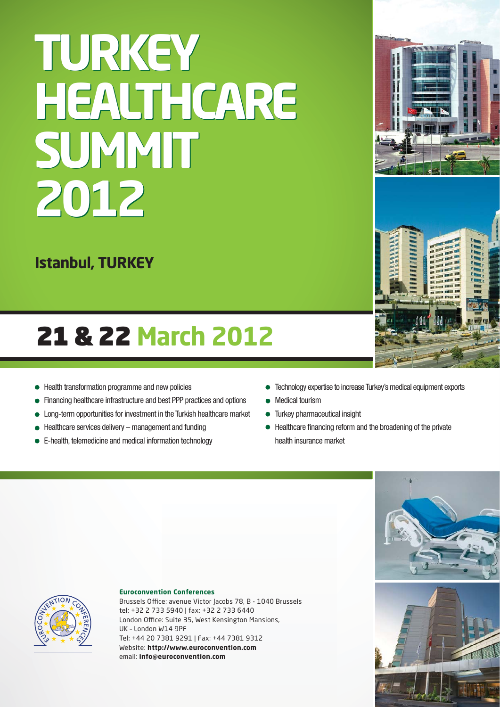## **TURKEY TURKEY HEALTHCARE HEALTHCARE SUMMIT SUMMIT 2012 2012**

**Istanbul, TURKEY**

### 21 & 22 **March 2012**

- Health transformation programme and new policies
- Financing healthcare infrastructure and best PPP practices and options
- Long-term opportunities for investment in the Turkish healthcare market
- Healthcare services delivery management and funding
- E-health, telemedicine and medical information technology
- Technology expertise to increase Turkey's medical equipment exports
- Medical tourism
- Turkey pharmaceutical insight  $\bullet$
- Healthcare financing reform and the broadening of the private health insurance market



#### **Euroconvention Conferences**

Brussels Office: avenue Victor Jacobs 78, B - 1040 Brussels tel: +32 2 733 5940 | fax: +32 2 733 6440 London Office: Suite 35, West Kensington Mansions, UK – London W14 9PF Tel: +44 20 7381 9291 | Fax: +44 7381 9312 Website: **http://www.euroconvention.com** email: **info@euroconvention.com**



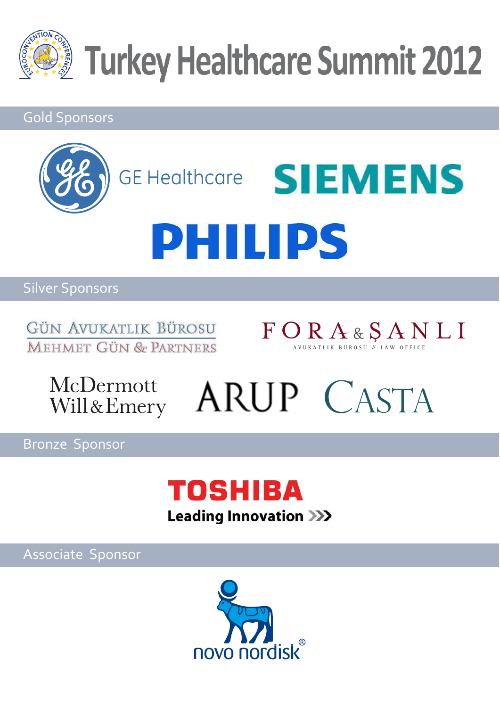

#### Gold Sponsors



#### Silver Sponsors

GÜN AVUKATLIK BÜROSU **MEHMET GÜN & PARTNERS** 



McDermott<br>Will&Emery ARUP CASTA

Bronze Sponsor



Associate Sponsor

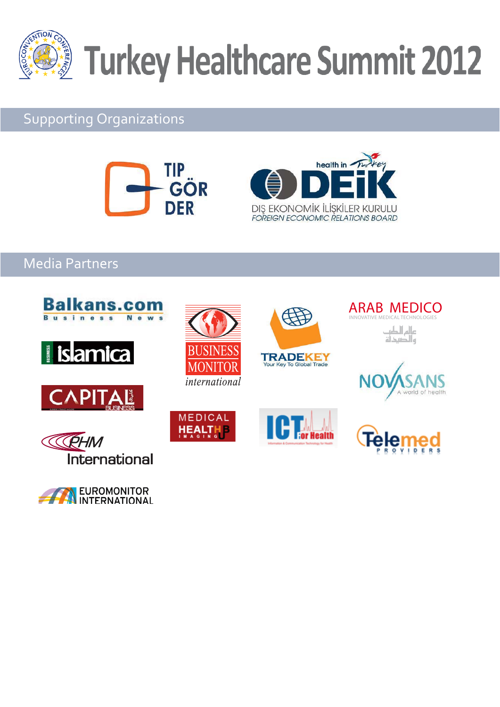

#### Supporting Organizations





#### Media Partners



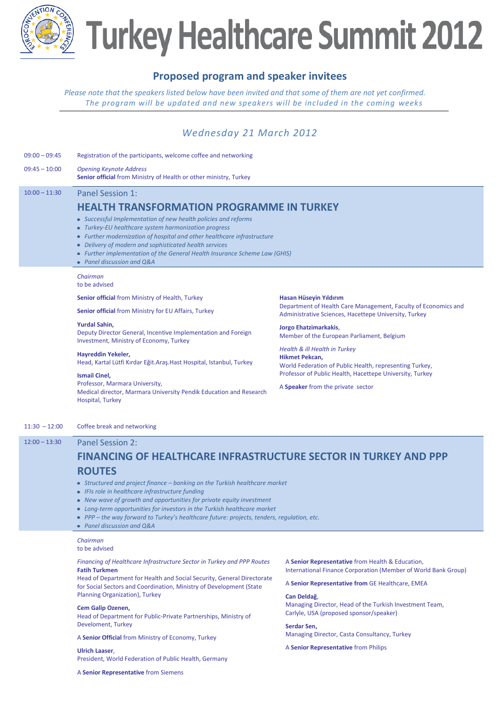

#### **Proposed program and speaker invitees**

*Please note that the speakers listed below have been invited and that some of them are not yet confirmed. The program will be updated and new speakers will be included in the coming weeks*

#### *Wednesday 21 March 2012*

| $09:00 - 09:45$ | Registration of the participants, welcome coffee and networking                                                                                                                                                                                                                                                                                                                                                                                                                                                                                                                                                                                                                                                                                                                                                                                                                                                                                                                            |                                                                                                                                                                                                                                                                                                                                                                                                                                         |  |
|-----------------|--------------------------------------------------------------------------------------------------------------------------------------------------------------------------------------------------------------------------------------------------------------------------------------------------------------------------------------------------------------------------------------------------------------------------------------------------------------------------------------------------------------------------------------------------------------------------------------------------------------------------------------------------------------------------------------------------------------------------------------------------------------------------------------------------------------------------------------------------------------------------------------------------------------------------------------------------------------------------------------------|-----------------------------------------------------------------------------------------------------------------------------------------------------------------------------------------------------------------------------------------------------------------------------------------------------------------------------------------------------------------------------------------------------------------------------------------|--|
| $09:45 - 10:00$ | <b>Opening Keynote Address</b><br><b>Senior official from Ministry of Health or other ministry, Turkey</b>                                                                                                                                                                                                                                                                                                                                                                                                                                                                                                                                                                                                                                                                                                                                                                                                                                                                                 |                                                                                                                                                                                                                                                                                                                                                                                                                                         |  |
| $10:00 - 11:30$ | Panel Session 1:<br><b>HEALTH TRANSFORMATION PROGRAMME IN TURKEY</b><br>• Successful Implementation of new health policies and reforms<br>• Turkey-EU healthcare system harmonization progress<br>• Further modernization of hospital and other healthcare infrastructure<br>• Delivery of modern and sophisticated health services<br>• Further implementation of the General Health Insurance Scheme Law (GHIS)<br>• Panel discussion and O&A<br>Chairman<br>to be advised<br><b>Senior official from Ministry of Health, Turkey</b><br><b>Senior official from Ministry for EU Affairs, Turkey</b><br><b>Yurdal Sahin,</b><br>Deputy Director General, Incentive Implementation and Foreign<br>Investment, Ministry of Economy, Turkey<br>Hayreddin Yekeler,<br>Head, Kartal Lütfi Kırdar Eğit.Araş.Hast Hospital, Istanbul, Turkey<br><b>Ismail Cinel,</b><br>Professor, Marmara University,<br>Medical director, Marmara University Pendik Education and Research<br>Hospital, Turkey | Hasan Hüseyin Yıldırım<br>Department of Health Care Management, Faculty of Economics and<br>Administrative Sciences, Hacettepe University, Turkey<br>Jorgo Ehatzimarkakis,<br>Member of the European Parliament, Belgium<br>Health & ill Health in Turkey<br>Hikmet Pekcan,<br>World Federation of Public Health, representing Turkey,<br>Professor of Public Health, Hacettepe University, Turkey<br>A Speaker from the private sector |  |
| $11:30 - 12:00$ | Coffee break and networking                                                                                                                                                                                                                                                                                                                                                                                                                                                                                                                                                                                                                                                                                                                                                                                                                                                                                                                                                                |                                                                                                                                                                                                                                                                                                                                                                                                                                         |  |
| $12:00 - 13:30$ | <b>Panel Session 2:</b><br><b>FINANCING OF HEALTHCARE INFRASTRUCTURE SECTOR IN TURKEY AND PPP</b><br><b>ROUTES</b><br>• Structured and project finance - banking on the Turkish healthcare market<br>• IFIs role in healthcare infrastructure funding<br>• New wave of growth and opportunities for private equity investment<br>• Long-term opportunities for investors in the Turkish healthcare market<br>• PPP - the way forward to Turkey's healthcare future: projects, tenders, regulation, etc.                                                                                                                                                                                                                                                                                                                                                                                                                                                                                    |                                                                                                                                                                                                                                                                                                                                                                                                                                         |  |
|                 | $\bullet$ Panel discussion and Q&A                                                                                                                                                                                                                                                                                                                                                                                                                                                                                                                                                                                                                                                                                                                                                                                                                                                                                                                                                         |                                                                                                                                                                                                                                                                                                                                                                                                                                         |  |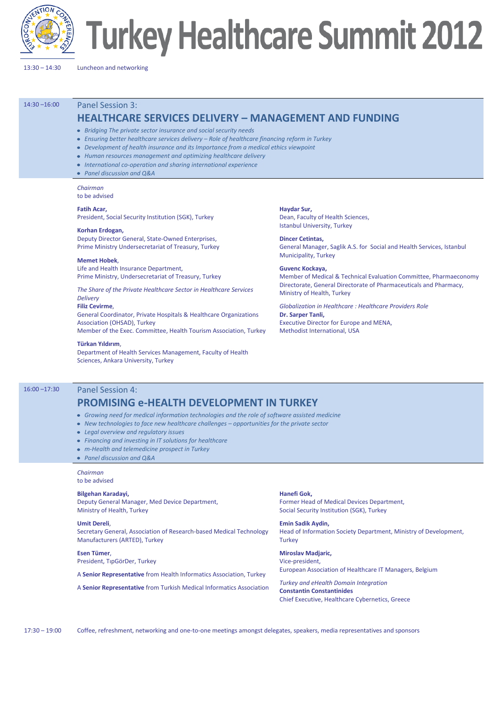

13:30 – 14:30 Luncheon and networking

14:30 –16:00 Panel Session 3:

#### **HEALTHCARE SERVICES DELIVERY – MANAGEMENT AND FUNDING**

- *Bridging The private sector insurance and social security needs*
- *Ensuring better healthcare services delivery – Role of healthcare financing reform in Turkey*
- *Development of health insurance and its Importance from a medical ethics viewpoint*
- *Human resources management and optimizing healthcare delivery*
- *International co-operation and sharing international experience*
- *Panel discussion and Q&A*

*Chairman* to be advised

#### **Fatih Acar,**

President, Social Security Institution (SGK), Turkey

#### **Korhan Erdogan,** Deputy Director General, State-Owned Enterprises,

Prime Ministry Undersecretariat of Treasury, Turkey

**Memet Hobek**, Life and Health Insurance Department, Prime Ministry, Undersecretariat of Treasury, Turkey

*The Share of the Private Healthcare Sector in Healthcare Services Delivery*

#### **Filiz Cevirme**,

General Coordinator, Private Hospitals & Healthcare Organizations Association (OHSAD), Turkey Member of the Exec. Committee, Health Tourism Association, Turkey

**Türkan Yıldırım**,

Department of Health Services Management, Faculty of Health Sciences, Ankara University, Turkey

**Haydar Sur,** Dean, Faculty of Health Sciences, Istanbul University, Turkey

**Dincer Cetintas,** General Manager, Saglik A.S. for Social and Health Services, Istanbul Municipality, Turkey

**Guvenc Kockaya,** Member of Medical & Technical Evaluation Committee, Pharmaeconomy Directorate, General Directorate of Pharmaceuticals and Pharmacy, Ministry of Health, Turkey

*Globalization in Healthcare : Healthcare Providers Role* **Dr. Sarper Tanli,** Executive Director for Europe and MENA, Methodist International, USA

#### 16:00 –17:30 Panel Session 4:

#### **PROMISING e-HEALTH DEVELOPMENT IN TURKEY**

- *Growing need for medical information technologies and the role of software assisted medicine*
- *New technologies to face new healthcare challenges – opportunities for the private sector*
- *Legal overview and regulatory issues*
- *Financing and investing in IT solutions for healthcare*
- *m-Health and telemedicine prospect in Turkey*
- *Panel discussion and Q&A*

#### *Chairman* to be advised

#### **Bilgehan Karadayi,**

Deputy General Manager, Med Device Department, Ministry of Health, Turkey

#### **Umit Dereli**,

Secretary General, Association of Research-based Medical Technology Manufacturers (ARTED), Turkey

**Esen Tümer**, President, TıpGörDer, Turkey

A **Senior Representative** from Health Informatics Association, Turkey

A **Senior Representative** from Turkish Medical Informatics Association

**Hanefi Gok,** Former Head of Medical Devices Department, Social Security Institution (SGK), Turkey

**Emin Sadik Aydin,**  Head of Information Society Department, Ministry of Development, **Turkey** 

**Miroslav Madjaric,**  Vice-president, European Association of Healthcare IT Managers, Belgium

*Turkey and eHealth Domain Integration* **Constantin Constantinides** Chief Executive, Healthcare Cybernetics, Greece